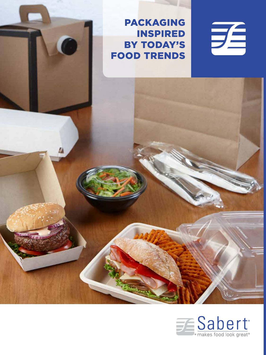PACKAGING INSPIRED BY TODAY'S FOOD TRENDS





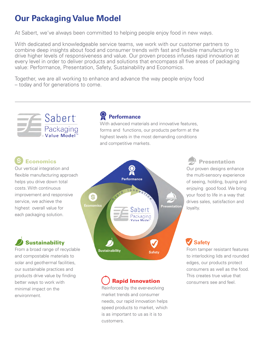### **Our Packaging Value Model**

At Sabert, we've always been committed to helping people enjoy food in new ways.

With dedicated and knowledgeable service teams, we work with our customer partners to combine deep insights about food and consumer trends with fast and flexible manufacturing to drive higher levels of responsiveness and value. Our proven process infuses rapid innovation at every level in order to deliver products and solutions that encompass all five areas of packaging value: Performance, Presentation, Safety, Sustainability and Economics.

 **Performance**

and competitive markets.

With advanced materials and innovative features, forms and functions, our products perform at the highest levels in the most demanding conditions

Together, we are all working to enhance and advance the way people enjoy food – today and for generations to come.



#### Economics

Our vertical integration and flexible manufacturing approach helps you drive down total costs. With continuous improvement and responsive service, we achieve the highest overall value for each packaging solution.

#### **Sustainability**

From a broad range of recyclable and compostable materials to solar and geothermal facilities, our sustainable practices and products drive value by finding better ways to work with minimal impact on the environment.



## Rapid Innovation

Reinforced by the ever-evolving market trends and consumer needs, our rapid innovation helps speed products to market, which is as important to us as it is to customers.

 Presentation Our proven designs enhance the multi-sensory experience of seeing, holding, buying and enjoying good food. We bring your food to life in a way that drives sales, satisfaction and loyalty.

#### **Safety**

From tamper resistant features to interlocking lids and rounded edges, our products protect consumers as well as the food. This creates true value that consumers see and feel.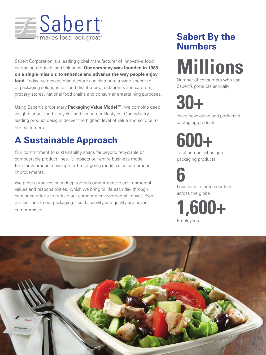

Sabert Corporation is a leading global manufacturer of innovative food packaging products and solutions. **Our company was founded in 1983 on a single mission: to enhance and advance the way people enjoy food.** Today we design, manufacture and distribute a wide spectrum of packaging solutions for food distributors, restaurants and caterers, grocery stores, national food chains and consumer entertaining purposes.

Using Sabert's proprietary **Packaging Value Model™**, we combine deep insights about food lifecycles and consumer lifestyles. Our industryleading product designs deliver the highest level of value and service to our customers.

## **A Sustainable Approach**

Our commitment to sustainability spans far beyond recyclable or compostable product lines. It impacts our entire business model, from new product development to ongoing modification and product improvements.

We pride ourselves on a deep-rooted commitment to environmental values and responsibilities, which we bring to life each day through continued efforts to reduce our corporate environmental impact. From our facilities to our packaging – sustainability and quality are never compromised.

## **Sabert By the Numbers**

# **Millions**

Number of consumers who use Sabert's products annually

**30+**

Years developing and perfecting packaging products

**600+**

Total number of unique packaging products

**6** Locations in three countries across the globe

**1,600+** Employees

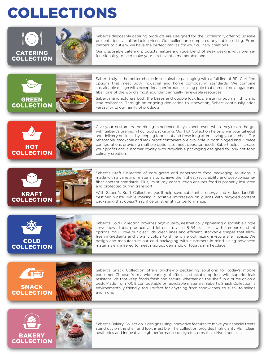## COLLECTIONS



Sabert's disposable catering products are Designed for the Occasion™, offering upscale presentations at affordable prices. Our collection completes any table setting. From platters to cutlery, we have the perfect canvas for your culinary creations.

Our disposable catering products feature a unique blend of sleek designs with premier functionality to help make your next event a memorable one.



Sabert truly is the better choice in sustainable packaging with a full line of BPI Certified options that meet both industrial and home composting standards. We combine sustainable design with exceptional performance, using pulp that comes from sugar cane fiber, one of the world's most abundant annually renewable resources.

Sabert manufacturers both the bases and double lock lids, ensuring optimal lid fit and leak resistance. Through an ongoing dedication to innovation, Sabert continually adds versatility to our family of products.



Give your customers the dining experience they expect, even when they're on the go, with Sabert's premium hot food packaging. Our Hot Collection helps drive your takeout and delivery business by keeping foods hot and fresh long after leaving your kitchen. Our reheatable, stackable and leak proof containers are available in both hinged and 2-piece configurations providing multiple options to meet operator needs. Sabert helps increase your profits and customer loyalty with recyclable packaging designed for any hot food culinary creation.



Sabert's Kraft Collection of corrugated and paperboard food packaging solutions is made with a variety of materials to achieve the highest recyclability and post-consumer fiber content standards. Plus, its sturdy construction ensures food is properly insulated and protected during transport.

With Sabert's Kraft Collection, you'll help save substantial energy and reduce landfilldestined waste—while making a positive impression on guests with recycled-content packaging that doesn't sacrifice on strength or performance.





Sabert's Cold Collection provides high-quality, aesthetically appealing disposable single serve bowl, tubs, produce and lettuce trays in 8-64 oz. sizes with tamper-resistant options. You'll love our clear lids, clean lines and efficient, stackable shapes that allow fresh ingredients and vibrant colors to shine while optimizing in-store shelf space. We design and manufacture our cold packaging with customers in mind, using advanced materials engineered to meet rigorous demands of today's marketplace.



Sabert's Snack Collection offers on-the-go packaging solutions for today's mobile consumer. Choose from a wide variety of efficient, stackable options with superior leak resistant lids that keep foods fresh and secure, whether on the shelf, in a purse or on a desk. Made from 100% compostable or recyclable materials, Sabert's Snack Collection is environmentally friendly, too. Perfect for anything from sandwiches, to sushi, to salads and more.



Sabert's Bakery Collection is designs using innovative features to make your special treats stand out on the shelf and look irrestible. The collection provides high clarity PET, clean aesthetics and innovative, high performance design features that drive impulse sales.